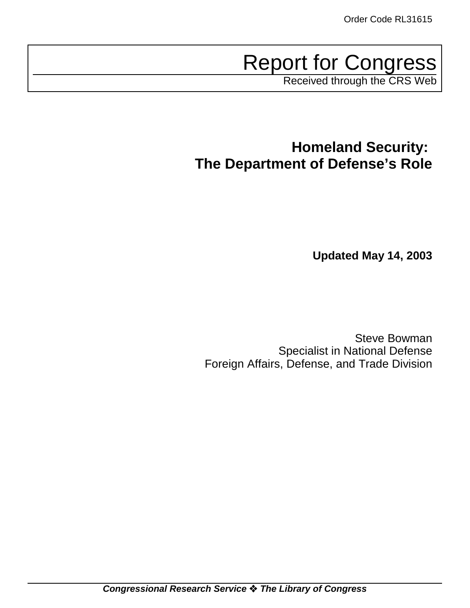Report for Congress

Received through the CRS Web

**Homeland Security: The Department of Defense's Role**

**Updated May 14, 2003**

Steve Bowman Specialist in National Defense Foreign Affairs, Defense, and Trade Division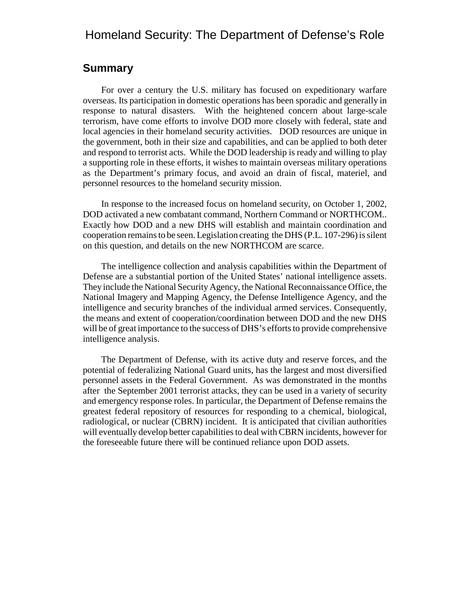# Homeland Security: The Department of Defense's Role

## **Summary**

For over a century the U.S. military has focused on expeditionary warfare overseas. Its participation in domestic operations has been sporadic and generally in response to natural disasters. With the heightened concern about large-scale terrorism, have come efforts to involve DOD more closely with federal, state and local agencies in their homeland security activities. DOD resources are unique in the government, both in their size and capabilities, and can be applied to both deter and respond to terrorist acts. While the DOD leadership is ready and willing to play a supporting role in these efforts, it wishes to maintain overseas military operations as the Department's primary focus, and avoid an drain of fiscal, materiel, and personnel resources to the homeland security mission.

In response to the increased focus on homeland security, on October 1, 2002, DOD activated a new combatant command, Northern Command or NORTHCOM.. Exactly how DOD and a new DHS will establish and maintain coordination and cooperation remains to be seen. Legislation creating the DHS (P.L. 107-296) is silent on this question, and details on the new NORTHCOM are scarce.

The intelligence collection and analysis capabilities within the Department of Defense are a substantial portion of the United States' national intelligence assets. They include the National Security Agency, the National Reconnaissance Office, the National Imagery and Mapping Agency, the Defense Intelligence Agency, and the intelligence and security branches of the individual armed services. Consequently, the means and extent of cooperation/coordination between DOD and the new DHS will be of great importance to the success of DHS's efforts to provide comprehensive intelligence analysis.

The Department of Defense, with its active duty and reserve forces, and the potential of federalizing National Guard units, has the largest and most diversified personnel assets in the Federal Government. As was demonstrated in the months after the September 2001 terrorist attacks, they can be used in a variety of security and emergency response roles. In particular, the Department of Defense remains the greatest federal repository of resources for responding to a chemical, biological, radiological, or nuclear (CBRN) incident. It is anticipated that civilian authorities will eventually develop better capabilities to deal with CBRN incidents, however for the foreseeable future there will be continued reliance upon DOD assets.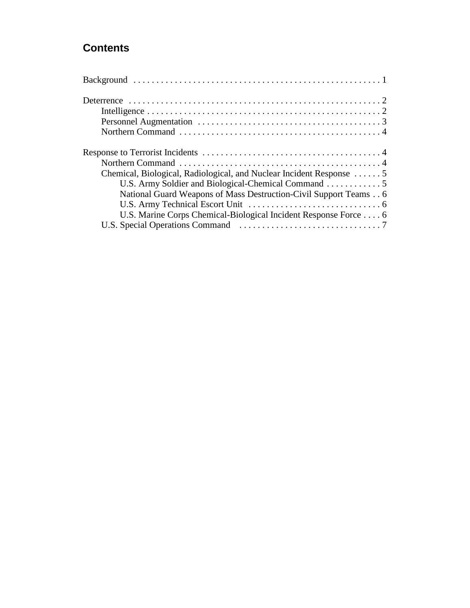# **Contents**

| Chemical, Biological, Radiological, and Nuclear Incident Response 5 |
|---------------------------------------------------------------------|
|                                                                     |
| National Guard Weapons of Mass Destruction-Civil Support Teams 6    |
|                                                                     |
| U.S. Marine Corps Chemical-Biological Incident Response Force 6     |
|                                                                     |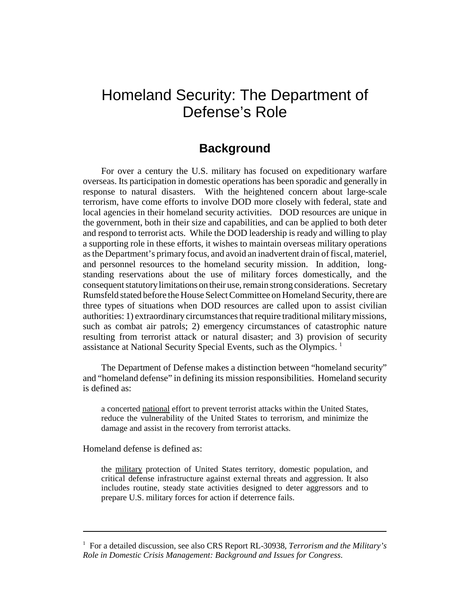# Homeland Security: The Department of Defense's Role

# **Background**

For over a century the U.S. military has focused on expeditionary warfare overseas. Its participation in domestic operations has been sporadic and generally in response to natural disasters. With the heightened concern about large-scale terrorism, have come efforts to involve DOD more closely with federal, state and local agencies in their homeland security activities. DOD resources are unique in the government, both in their size and capabilities, and can be applied to both deter and respond to terrorist acts. While the DOD leadership is ready and willing to play a supporting role in these efforts, it wishes to maintain overseas military operations as the Department's primary focus, and avoid an inadvertent drain of fiscal, materiel, and personnel resources to the homeland security mission. In addition, longstanding reservations about the use of military forces domestically, and the consequent statutory limitations on their use, remain strong considerations. Secretary Rumsfeld stated before the House Select Committee on Homeland Security, there are three types of situations when DOD resources are called upon to assist civilian authorities: 1) extraordinary circumstances that require traditional military missions, such as combat air patrols; 2) emergency circumstances of catastrophic nature resulting from terrorist attack or natural disaster; and 3) provision of security assistance at National Security Special Events, such as the Olympics.<sup>1</sup>

The Department of Defense makes a distinction between "homeland security" and "homeland defense" in defining its mission responsibilities. Homeland security is defined as:

a concerted national effort to prevent terrorist attacks within the United States, reduce the vulnerability of the United States to terrorism, and minimize the damage and assist in the recovery from terrorist attacks.

Homeland defense is defined as:

the military protection of United States territory, domestic population, and critical defense infrastructure against external threats and aggression. It also includes routine, steady state activities designed to deter aggressors and to prepare U.S. military forces for action if deterrence fails.

<sup>&</sup>lt;sup>1</sup> For a detailed discussion, see also CRS Report RL-30938, *Terrorism and the Military's Role in Domestic Crisis Management: Background and Issues for Congress*.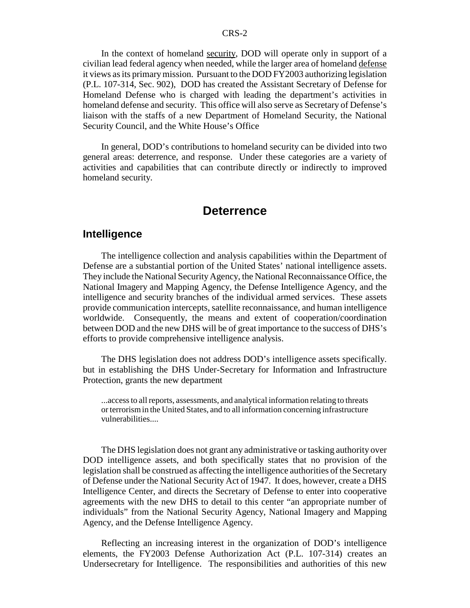In the context of homeland security, DOD will operate only in support of a civilian lead federal agency when needed, while the larger area of homeland defense it views as its primary mission. Pursuant to the DOD FY2003 authorizing legislation (P.L. 107-314, Sec. 902), DOD has created the Assistant Secretary of Defense for Homeland Defense who is charged with leading the department's activities in homeland defense and security. This office will also serve as Secretary of Defense's liaison with the staffs of a new Department of Homeland Security, the National Security Council, and the White House's Office

In general, DOD's contributions to homeland security can be divided into two general areas: deterrence, and response. Under these categories are a variety of activities and capabilities that can contribute directly or indirectly to improved homeland security.

## **Deterrence**

#### **Intelligence**

The intelligence collection and analysis capabilities within the Department of Defense are a substantial portion of the United States' national intelligence assets. They include the National Security Agency, the National Reconnaissance Office, the National Imagery and Mapping Agency, the Defense Intelligence Agency, and the intelligence and security branches of the individual armed services. These assets provide communication intercepts, satellite reconnaissance, and human intelligence worldwide. Consequently, the means and extent of cooperation/coordination between DOD and the new DHS will be of great importance to the success of DHS's efforts to provide comprehensive intelligence analysis.

The DHS legislation does not address DOD's intelligence assets specifically. but in establishing the DHS Under-Secretary for Information and Infrastructure Protection, grants the new department

...access to all reports, assessments, and analytical information relating to threats or terrorism in the United States, and to all information concerning infrastructure vulnerabilities....

The DHS legislation does not grant any administrative or tasking authority over DOD intelligence assets, and both specifically states that no provision of the legislation shall be construed as affecting the intelligence authorities of the Secretary of Defense under the National Security Act of 1947. It does, however, create a DHS Intelligence Center, and directs the Secretary of Defense to enter into cooperative agreements with the new DHS to detail to this center "an appropriate number of individuals" from the National Security Agency, National Imagery and Mapping Agency, and the Defense Intelligence Agency.

Reflecting an increasing interest in the organization of DOD's intelligence elements, the FY2003 Defense Authorization Act (P.L. 107-314) creates an Undersecretary for Intelligence. The responsibilities and authorities of this new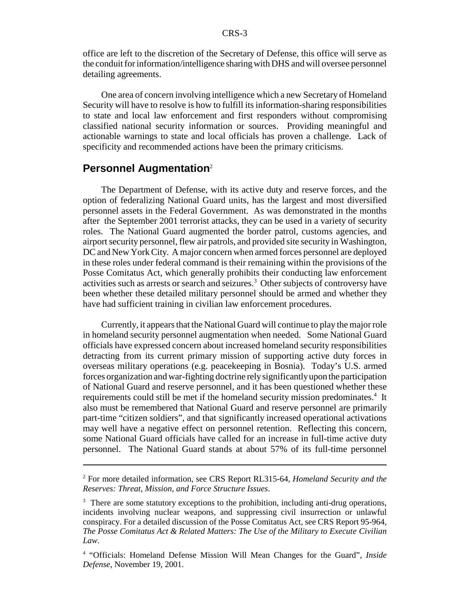office are left to the discretion of the Secretary of Defense, this office will serve as the conduit for information/intelligence sharing with DHS and will oversee personnel detailing agreements.

One area of concern involving intelligence which a new Secretary of Homeland Security will have to resolve is how to fulfill its information-sharing responsibilities to state and local law enforcement and first responders without compromising classified national security information or sources. Providing meaningful and actionable warnings to state and local officials has proven a challenge. Lack of specificity and recommended actions have been the primary criticisms.

#### **Personnel Augmentation**<sup>2</sup>

The Department of Defense, with its active duty and reserve forces, and the option of federalizing National Guard units, has the largest and most diversified personnel assets in the Federal Government. As was demonstrated in the months after the September 2001 terrorist attacks, they can be used in a variety of security roles. The National Guard augmented the border patrol, customs agencies, and airport security personnel, flew air patrols, and provided site security in Washington, DC and New York City. A major concern when armed forces personnel are deployed in these roles under federal command is their remaining within the provisions of the Posse Comitatus Act, which generally prohibits their conducting law enforcement activities such as arrests or search and seizures.<sup>3</sup> Other subjects of controversy have been whether these detailed military personnel should be armed and whether they have had sufficient training in civilian law enforcement procedures.

Currently, it appears that the National Guard will continue to play the major role in homeland security personnel augmentation when needed. Some National Guard officials have expressed concern about increased homeland security responsibilities detracting from its current primary mission of supporting active duty forces in overseas military operations (e.g. peacekeeping in Bosnia). Today's U.S. armed forces organization and war-fighting doctrine rely significantly upon the participation of National Guard and reserve personnel, and it has been questioned whether these requirements could still be met if the homeland security mission predominates.<sup>4</sup> It also must be remembered that National Guard and reserve personnel are primarily part-time "citizen soldiers", and that significantly increased operational activations may well have a negative effect on personnel retention. Reflecting this concern, some National Guard officials have called for an increase in full-time active duty personnel. The National Guard stands at about 57% of its full-time personnel

<sup>2</sup> For more detailed information, see CRS Report RL315-64, *Homeland Security and the Reserves: Threat, Mission, and Force Structure Issues*.

<sup>&</sup>lt;sup>3</sup> There are some statutory exceptions to the prohibition, including anti-drug operations, incidents involving nuclear weapons, and suppressing civil insurrection or unlawful conspiracy. For a detailed discussion of the Posse Comitatus Act, see CRS Report 95-964, *The Posse Comitatus Act & Related Matters: The Use of the Military to Execute Civilian Law*.

<sup>4</sup> "Officials: Homeland Defense Mission Will Mean Changes for the Guard", *Inside Defense*, November 19, 2001.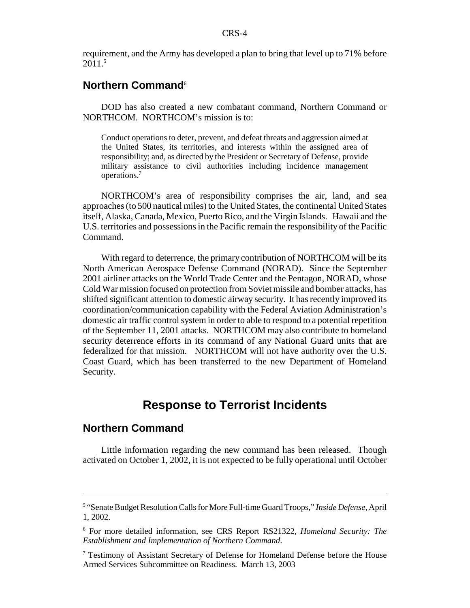requirement, and the Army has developed a plan to bring that level up to 71% before  $2011<sup>5</sup>$ 

## **Northern Command**<sup>6</sup>

DOD has also created a new combatant command, Northern Command or NORTHCOM. NORTHCOM's mission is to:

Conduct operations to deter, prevent, and defeat threats and aggression aimed at the United States, its territories, and interests within the assigned area of responsibility; and, as directed by the President or Secretary of Defense, provide military assistance to civil authorities including incidence management operations.7

NORTHCOM's area of responsibility comprises the air, land, and sea approaches (to 500 nautical miles) to the United States, the continental United States itself, Alaska, Canada, Mexico, Puerto Rico, and the Virgin Islands. Hawaii and the U.S. territories and possessions in the Pacific remain the responsibility of the Pacific Command.

With regard to deterrence, the primary contribution of NORTHCOM will be its North American Aerospace Defense Command (NORAD). Since the September 2001 airliner attacks on the World Trade Center and the Pentagon, NORAD, whose Cold War mission focused on protection from Soviet missile and bomber attacks, has shifted significant attention to domestic airway security. It has recently improved its coordination/communication capability with the Federal Aviation Administration's domestic air traffic control system in order to able to respond to a potential repetition of the September 11, 2001 attacks. NORTHCOM may also contribute to homeland security deterrence efforts in its command of any National Guard units that are federalized for that mission. NORTHCOM will not have authority over the U.S. Coast Guard, which has been transferred to the new Department of Homeland Security.

# **Response to Terrorist Incidents**

## **Northern Command**

Little information regarding the new command has been released. Though activated on October 1, 2002, it is not expected to be fully operational until October

<sup>5</sup> "Senate Budget Resolution Calls for More Full-time Guard Troops," *Inside Defense*, April 1, 2002.

<sup>6</sup> For more detailed information, see CRS Report RS21322, *Homeland Security: The Establishment and Implementation of Northern Command*.

<sup>&</sup>lt;sup>7</sup> Testimony of Assistant Secretary of Defense for Homeland Defense before the House Armed Services Subcommittee on Readiness. March 13, 2003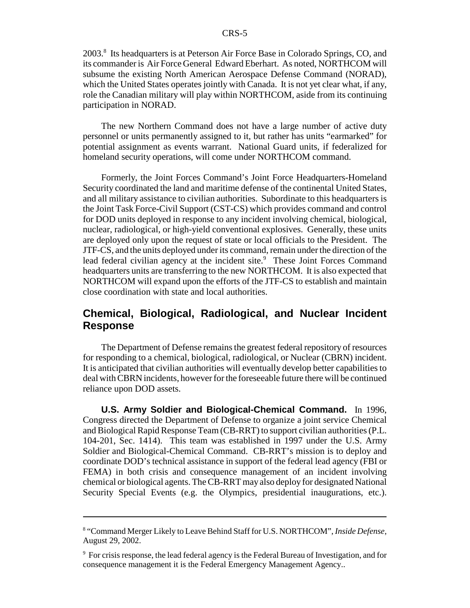2003.<sup>8</sup> Its headquarters is at Peterson Air Force Base in Colorado Springs, CO, and its commander is Air Force General Edward Eberhart. As noted, NORTHCOM will subsume the existing North American Aerospace Defense Command (NORAD), which the United States operates jointly with Canada. It is not yet clear what, if any, role the Canadian military will play within NORTHCOM, aside from its continuing participation in NORAD.

The new Northern Command does not have a large number of active duty personnel or units permanently assigned to it, but rather has units "earmarked" for potential assignment as events warrant. National Guard units, if federalized for homeland security operations, will come under NORTHCOM command.

Formerly, the Joint Forces Command's Joint Force Headquarters-Homeland Security coordinated the land and maritime defense of the continental United States, and all military assistance to civilian authorities. Subordinate to this headquarters is the Joint Task Force-Civil Support (CST-CS) which provides command and control for DOD units deployed in response to any incident involving chemical, biological, nuclear, radiological, or high-yield conventional explosives. Generally, these units are deployed only upon the request of state or local officials to the President. The JTF-CS, and the units deployed under its command, remain under the direction of the lead federal civilian agency at the incident site.<sup>9</sup> These Joint Forces Command headquarters units are transferring to the new NORTHCOM. It is also expected that NORTHCOM will expand upon the efforts of the JTF-CS to establish and maintain close coordination with state and local authorities.

# **Chemical, Biological, Radiological, and Nuclear Incident Response**

The Department of Defense remains the greatest federal repository of resources for responding to a chemical, biological, radiological, or Nuclear (CBRN) incident. It is anticipated that civilian authorities will eventually develop better capabilities to deal with CBRN incidents, however for the foreseeable future there will be continued reliance upon DOD assets.

**U.S. Army Soldier and Biological-Chemical Command.** In 1996, Congress directed the Department of Defense to organize a joint service Chemical and Biological Rapid Response Team (CB-RRT) to support civilian authorities (P.L. 104-201, Sec. 1414). This team was established in 1997 under the U.S. Army Soldier and Biological-Chemical Command. CB-RRT's mission is to deploy and coordinate DOD's technical assistance in support of the federal lead agency (FBI or FEMA) in both crisis and consequence management of an incident involving chemical or biological agents. The CB-RRT may also deploy for designated National Security Special Events (e.g. the Olympics, presidential inaugurations, etc.).

<sup>8</sup> "Command Merger Likely to Leave Behind Staff for U.S. NORTHCOM", *Inside Defense*, August 29, 2002.

<sup>&</sup>lt;sup>9</sup> For crisis response, the lead federal agency is the Federal Bureau of Investigation, and for consequence management it is the Federal Emergency Management Agency..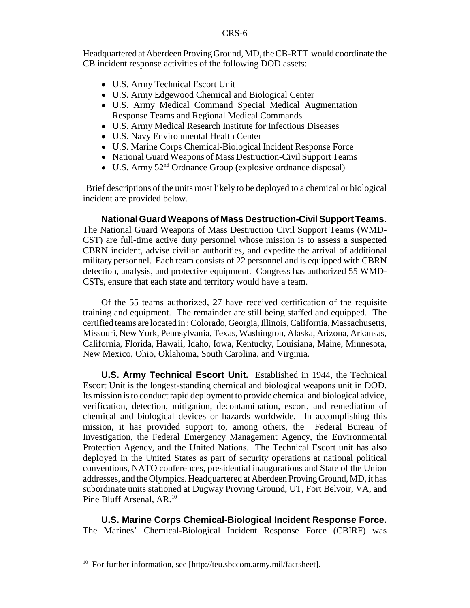Headquartered at Aberdeen Proving Ground, MD, the CB-RTT would coordinate the CB incident response activities of the following DOD assets:

- U.S. Army Technical Escort Unit
- U.S. Army Edgewood Chemical and Biological Center
- ! U.S. Army Medical Command Special Medical Augmentation Response Teams and Regional Medical Commands
- ! U.S. Army Medical Research Institute for Infectious Diseases
- U.S. Navy Environmental Health Center
- ! U.S. Marine Corps Chemical-Biological Incident Response Force
- National Guard Weapons of Mass Destruction-Civil Support Teams
- $\bullet$  U.S. Army 52<sup>nd</sup> Ordnance Group (explosive ordnance disposal)

 Brief descriptions of the units most likely to be deployed to a chemical or biological incident are provided below.

**National Guard Weapons of Mass Destruction-Civil Support Teams.** The National Guard Weapons of Mass Destruction Civil Support Teams (WMD-CST) are full-time active duty personnel whose mission is to assess a suspected CBRN incident, advise civilian authorities, and expedite the arrival of additional military personnel. Each team consists of 22 personnel and is equipped with CBRN detection, analysis, and protective equipment. Congress has authorized 55 WMD-CSTs, ensure that each state and territory would have a team.

Of the 55 teams authorized, 27 have received certification of the requisite training and equipment. The remainder are still being staffed and equipped. The certified teams are located in : Colorado, Georgia, Illinois, California, Massachusetts, Missouri, New York, Pennsylvania, Texas, Washington, Alaska, Arizona, Arkansas, California, Florida, Hawaii, Idaho, Iowa, Kentucky, Louisiana, Maine, Minnesota, New Mexico, Ohio, Oklahoma, South Carolina, and Virginia.

**U.S. Army Technical Escort Unit.** Established in 1944, the Technical Escort Unit is the longest-standing chemical and biological weapons unit in DOD. Its mission is to conduct rapid deployment to provide chemical and biological advice, verification, detection, mitigation, decontamination, escort, and remediation of chemical and biological devices or hazards worldwide. In accomplishing this mission, it has provided support to, among others, the Federal Bureau of Investigation, the Federal Emergency Management Agency, the Environmental Protection Agency, and the United Nations. The Technical Escort unit has also deployed in the United States as part of security operations at national political conventions, NATO conferences, presidential inaugurations and State of the Union addresses, and the Olympics. Headquartered at Aberdeen Proving Ground, MD, it has subordinate units stationed at Dugway Proving Ground, UT, Fort Belvoir, VA, and Pine Bluff Arsenal, AR.<sup>10</sup>

**U.S. Marine Corps Chemical-Biological Incident Response Force.** The Marines' Chemical-Biological Incident Response Force (CBIRF) was

<sup>&</sup>lt;sup>10</sup> For further information, see [http://teu.sbccom.army.mil/factsheet].